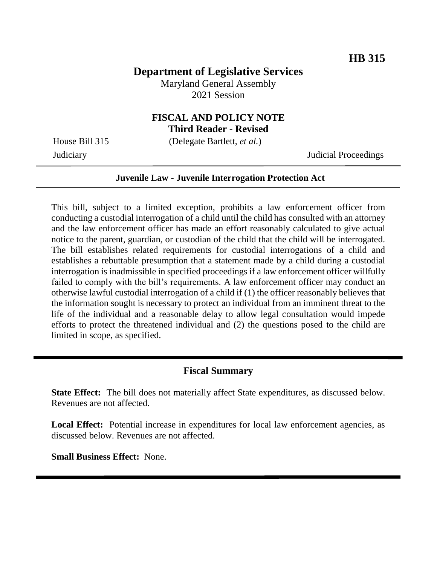# **Department of Legislative Services**

Maryland General Assembly 2021 Session

# **FISCAL AND POLICY NOTE**

**Third Reader - Revised**

House Bill 315 (Delegate Bartlett, *et al.*)

Judiciary Judicial Proceedings

#### **Juvenile Law - Juvenile Interrogation Protection Act**

This bill, subject to a limited exception, prohibits a law enforcement officer from conducting a custodial interrogation of a child until the child has consulted with an attorney and the law enforcement officer has made an effort reasonably calculated to give actual notice to the parent, guardian, or custodian of the child that the child will be interrogated. The bill establishes related requirements for custodial interrogations of a child and establishes a rebuttable presumption that a statement made by a child during a custodial interrogation is inadmissible in specified proceedings if a law enforcement officer willfully failed to comply with the bill's requirements. A law enforcement officer may conduct an otherwise lawful custodial interrogation of a child if (1) the officer reasonably believes that the information sought is necessary to protect an individual from an imminent threat to the life of the individual and a reasonable delay to allow legal consultation would impede efforts to protect the threatened individual and (2) the questions posed to the child are limited in scope, as specified.

### **Fiscal Summary**

**State Effect:** The bill does not materially affect State expenditures, as discussed below. Revenues are not affected.

Local Effect: Potential increase in expenditures for local law enforcement agencies, as discussed below. Revenues are not affected.

**Small Business Effect:** None.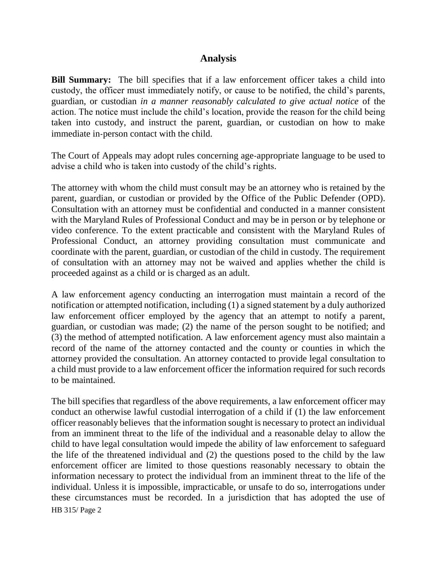#### **Analysis**

**Bill Summary:** The bill specifies that if a law enforcement officer takes a child into custody, the officer must immediately notify, or cause to be notified, the child's parents, guardian, or custodian *in a manner reasonably calculated to give actual notice* of the action. The notice must include the child's location, provide the reason for the child being taken into custody, and instruct the parent, guardian, or custodian on how to make immediate in-person contact with the child.

The Court of Appeals may adopt rules concerning age-appropriate language to be used to advise a child who is taken into custody of the child's rights.

The attorney with whom the child must consult may be an attorney who is retained by the parent, guardian, or custodian or provided by the Office of the Public Defender (OPD). Consultation with an attorney must be confidential and conducted in a manner consistent with the Maryland Rules of Professional Conduct and may be in person or by telephone or video conference. To the extent practicable and consistent with the Maryland Rules of Professional Conduct, an attorney providing consultation must communicate and coordinate with the parent, guardian, or custodian of the child in custody. The requirement of consultation with an attorney may not be waived and applies whether the child is proceeded against as a child or is charged as an adult.

A law enforcement agency conducting an interrogation must maintain a record of the notification or attempted notification, including (1) a signed statement by a duly authorized law enforcement officer employed by the agency that an attempt to notify a parent, guardian, or custodian was made; (2) the name of the person sought to be notified; and (3) the method of attempted notification. A law enforcement agency must also maintain a record of the name of the attorney contacted and the county or counties in which the attorney provided the consultation. An attorney contacted to provide legal consultation to a child must provide to a law enforcement officer the information required for such records to be maintained.

HB 315/ Page 2 The bill specifies that regardless of the above requirements, a law enforcement officer may conduct an otherwise lawful custodial interrogation of a child if (1) the law enforcement officer reasonably believes that the information sought is necessary to protect an individual from an imminent threat to the life of the individual and a reasonable delay to allow the child to have legal consultation would impede the ability of law enforcement to safeguard the life of the threatened individual and (2) the questions posed to the child by the law enforcement officer are limited to those questions reasonably necessary to obtain the information necessary to protect the individual from an imminent threat to the life of the individual. Unless it is impossible, impracticable, or unsafe to do so, interrogations under these circumstances must be recorded. In a jurisdiction that has adopted the use of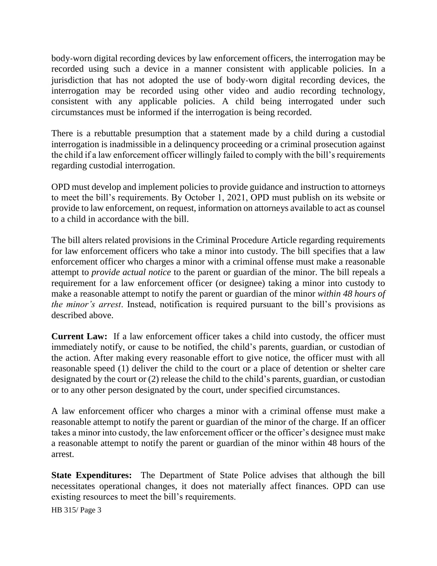body-worn digital recording devices by law enforcement officers, the interrogation may be recorded using such a device in a manner consistent with applicable policies. In a jurisdiction that has not adopted the use of body-worn digital recording devices, the interrogation may be recorded using other video and audio recording technology, consistent with any applicable policies. A child being interrogated under such circumstances must be informed if the interrogation is being recorded.

There is a rebuttable presumption that a statement made by a child during a custodial interrogation is inadmissible in a delinquency proceeding or a criminal prosecution against the child if a law enforcement officer willingly failed to comply with the bill's requirements regarding custodial interrogation.

OPD must develop and implement policies to provide guidance and instruction to attorneys to meet the bill's requirements. By October 1, 2021, OPD must publish on its website or provide to law enforcement, on request, information on attorneys available to act as counsel to a child in accordance with the bill.

The bill alters related provisions in the Criminal Procedure Article regarding requirements for law enforcement officers who take a minor into custody. The bill specifies that a law enforcement officer who charges a minor with a criminal offense must make a reasonable attempt to *provide actual notice* to the parent or guardian of the minor. The bill repeals a requirement for a law enforcement officer (or designee) taking a minor into custody to make a reasonable attempt to notify the parent or guardian of the minor *within 48 hours of the minor's arrest*. Instead, notification is required pursuant to the bill's provisions as described above.

**Current Law:** If a law enforcement officer takes a child into custody, the officer must immediately notify, or cause to be notified, the child's parents, guardian, or custodian of the action. After making every reasonable effort to give notice, the officer must with all reasonable speed (1) deliver the child to the court or a place of detention or shelter care designated by the court or (2) release the child to the child's parents, guardian, or custodian or to any other person designated by the court, under specified circumstances.

A law enforcement officer who charges a minor with a criminal offense must make a reasonable attempt to notify the parent or guardian of the minor of the charge. If an officer takes a minor into custody, the law enforcement officer or the officer's designee must make a reasonable attempt to notify the parent or guardian of the minor within 48 hours of the arrest.

**State Expenditures:** The Department of State Police advises that although the bill necessitates operational changes, it does not materially affect finances. OPD can use existing resources to meet the bill's requirements.

HB 315/ Page 3